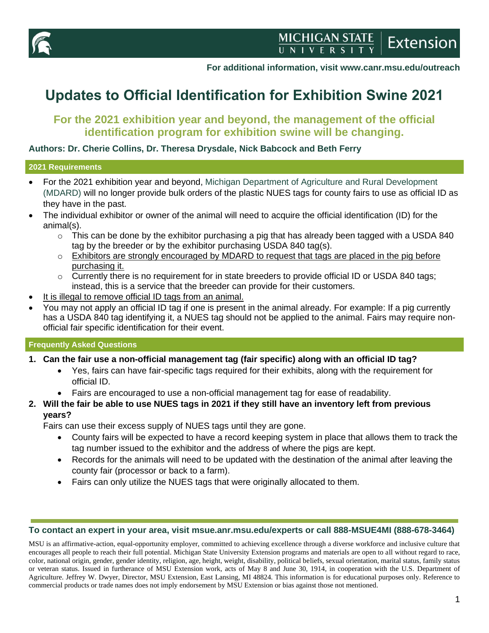

**For additional information, visit www.canr.msu.edu/outreach**

# **Updates to Official Identification for Exhibition Swine 2021**

# **For the 2021 exhibition year and beyond, the management of the official identification program for exhibition swine will be changing.**

#### **Authors: Dr. Cherie Collins, Dr. Theresa Drysdale, Nick Babcock and Beth Ferry**

#### **2021 Requirements**

- For the 2021 exhibition year and beyond, [Michigan Department of Agriculture and Rural Development](https://www.michigan.gov/mdard/)  [\(MDARD\)](https://www.michigan.gov/mdard/) will no longer provide bulk orders of the plastic NUES tags for county fairs to use as official ID as they have in the past.
- The individual exhibitor or owner of the animal will need to acquire the official identification (ID) for the animal(s).
	- $\circ$  This can be done by the exhibitor purchasing a pig that has already been tagged with a USDA 840 tag by the breeder or by the exhibitor purchasing USDA 840 tag(s).
	- $\circ$  Exhibitors are strongly encouraged by MDARD to request that tags are placed in the pig before purchasing it.
	- $\circ$  Currently there is no requirement for in state breeders to provide official ID or USDA 840 tags; instead, this is a service that the breeder can provide for their customers.
- It is illegal to remove official ID tags from an animal.
- You may not apply an official ID tag if one is present in the animal already. For example: If a pig currently has a USDA 840 tag identifying it, a NUES tag should not be applied to the animal. Fairs may require nonofficial fair specific identification for their event.

#### **Frequently Asked Questions**

#### **1. Can the fair use a non-official management tag (fair specific) along with an official ID tag?**

- Yes, fairs can have fair-specific tags required for their exhibits, along with the requirement for official ID.
- Fairs are encouraged to use a non-official management tag for ease of readability.

#### **2. Will the fair be able to use NUES tags in 2021 if they still have an inventory left from previous years?**

Fairs can use their excess supply of NUES tags until they are gone.

- County fairs will be expected to have a record keeping system in place that allows them to track the tag number issued to the exhibitor and the address of where the pigs are kept.
- Records for the animals will need to be updated with the destination of the animal after leaving the county fair (processor or back to a farm).
- Fairs can only utilize the NUES tags that were originally allocated to them.

#### **To contact an expert in your area, visit msue.anr.msu.edu/experts or call 888-MSUE4MI (888-678-3464)**

MSU is an affirmative-action, equal-opportunity employer, committed to achieving excellence through a diverse workforce and inclusive culture that encourages all people to reach their full potential. Michigan State University Extension programs and materials are open to all without regard to race, color, national origin, gender, gender identity, religion, age, height, weight, disability, political beliefs, sexual orientation, marital status, family status or veteran status. Issued in furtherance of MSU Extension work, acts of May 8 and June 30, 1914, in cooperation with the U.S. Department of Agriculture. Jeffrey W. Dwyer, Director, MSU Extension, East Lansing, MI 48824. This information is for educational purposes only. Reference to commercial products or trade names does not imply endorsement by MSU Extension or bias against those not mentioned.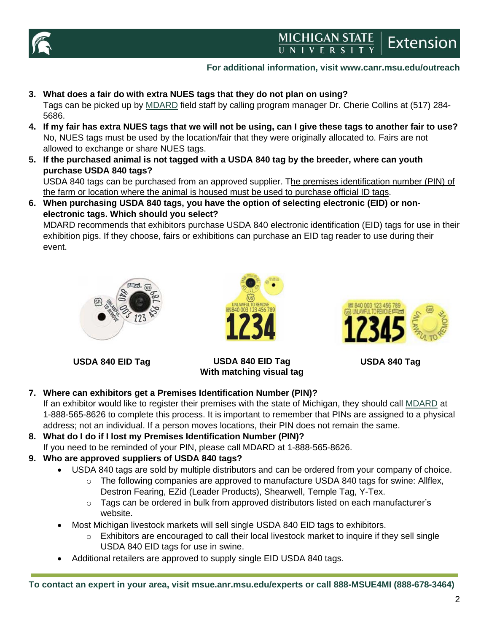

# MICHIGAN STATE **Extension**

## **For additional information, visit www.canr.msu.edu/outreach**

- **3. What does a fair do with extra NUES tags that they do not plan on using?** Tags can be picked up by [MDARD](https://www.michigan.gov/mdard/) field staff by calling program manager Dr. Cherie Collins at (517) 284- 5686.
- **4. If my fair has extra NUES tags that we will not be using, can I give these tags to another fair to use?** No, NUES tags must be used by the location/fair that they were originally allocated to. Fairs are not allowed to exchange or share NUES tags.
- **5. If the purchased animal is not tagged with a USDA 840 tag by the breeder, where can youth purchase USDA 840 tags?**

USDA 840 tags can be purchased from an approved supplier. The premises identification number (PIN) of the farm or location where the animal is housed must be used to purchase official ID tags.

**6. When purchasing USDA 840 tags, you have the option of selecting electronic (EID) or nonelectronic tags. Which should you select?** 

MDARD recommends that exhibitors purchase USDA 840 electronic identification (EID) tags for use in their exhibition pigs. If they choose, fairs or exhibitions can purchase an EID tag reader to use during their event.



**USDA 840 EID Tag USDA 840 EID Tag**



**With matching visual tag**



**USDA 840 Tag**

## **7. Where can exhibitors get a Premises Identification Number (PIN)?**

If an exhibitor would like to register their premises with the state of Michigan, they should call **MDARD** at 1-888-565-8626 to complete this process. It is important to remember that PINs are assigned to a physical address; not an individual. If a person moves locations, their PIN does not remain the same.

- **8. What do I do if I lost my Premises Identification Number (PIN)?**
	- If you need to be reminded of your PIN, please call MDARD at 1-888-565-8626.

## **9. Who are approved suppliers of USDA 840 tags?**

- USDA 840 tags are sold by multiple distributors and can be ordered from your company of choice.
	- $\circ$  The following companies are approved to manufacture USDA 840 tags for swine: Allflex, Destron Fearing, EZid (Leader Products), Shearwell, Temple Tag, Y-Tex.
	- $\circ$  Tags can be ordered in bulk from approved distributors listed on each manufacturer's website.
	- Most Michigan livestock markets will sell single USDA 840 EID tags to exhibitors.
		- o Exhibitors are encouraged to call their local livestock market to inquire if they sell single USDA 840 EID tags for use in swine.
- Additional retailers are approved to supply single EID USDA 840 tags.